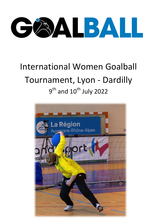

# International Women Goalball Tournament, Lyon - Dardilly  $9<sup>th</sup>$  and  $10<sup>th</sup>$  July 2022

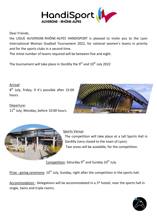

Dear Friends,

the LIGUE AUVERGNE-RHÔNE-ALPES HANDISPORT is pleased to invite you to the Lyon International Woman Goalball Tournament 2022, for national women's teams in priority and for the sports clubs in a second time.

The initial number of teams required will be between five and eight.

The tournament will take place in Dardilly the 9<sup>th</sup> and  $10^{\text{th}}$  July 2022

## Arrival:

 $8<sup>th</sup>$  July, friday, if it's possible after 15:00 hours.

#### Departure:

11<sup>th</sup> July, Monday, before 10:00 hours.





## Sports Venue:

The competition will take place at a tall Sports Hall in Dardilly (very closed to the town of Lyon). Two areas will be avalaible, for the competition.

Competition: Saturday 9<sup>th</sup> and Sunday 10<sup>th</sup> July.

Prize - giving ceremony: 10<sup>th</sup> July, Sunday, right after the competition in the sports hall.

Accommodation : Delegations will be accommodated in a 3\* hostel, near the sports hall in single, twins and triple rooms.